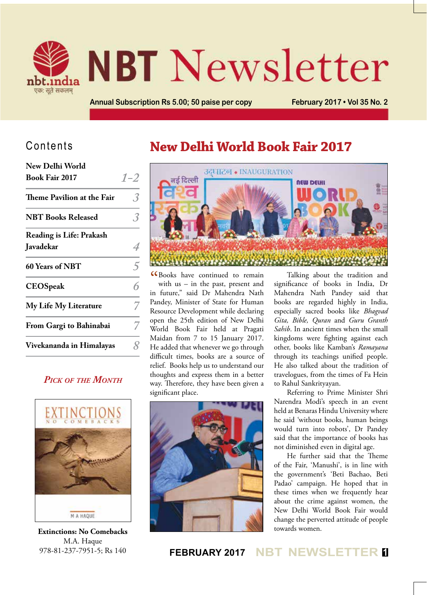

# **NBT** Newsletter

**Annual Subscription Rs 5.00; 50 paise per copy February 2017 • Vol 35 No. 2**

#### Contents

| New Delhi World                 |         |
|---------------------------------|---------|
| <b>Book Fair 2017</b>           | $1 - 2$ |
| Theme Pavilion at the Fair      |         |
| <b>NBT Books Released</b>       | 3       |
| <b>Reading is Life: Prakash</b> |         |
| Javadekar                       |         |
| 60 Years of NBT                 | 5       |
| <b>CEOSpeak</b>                 | 6       |
| <b>My Life My Literature</b>    |         |
| From Gargi to Bahinabai         |         |
| Vivekananda in Himalayas        | Q       |
|                                 |         |

#### *Pick of the Month*



**Extinctions: No Comebacks** M.A. Haque 978-81-237-7951-5; Rs 140

## **New Delhi World Book Fair 2017**



CR Books have continued to remain<br>with us – in the past, present and<br> $\therefore$   $\begin{bmatrix} 0 & \cdots & \cdots & 1 \end{bmatrix}$ with us – in the past, present and in future," said Dr Mahendra Nath Pandey, Minister of State for Human Resource Development while declaring open the 25th edition of New Delhi World Book Fair held at Pragati Maidan from 7 to 15 January 2017. He added that whenever we go through difficult times, books are a source of relief. Books help us to understand our thoughts and express them in a better way. Therefore, they have been given a significant place.



Talking about the tradition and significance of books in India, Dr Mahendra Nath Pandey said that books are regarded highly in India, especially sacred books like *Bhagvad Gita, Bible, Quran* and *Guru Granth Sahib*. In ancient times when the small kingdoms were fighting against each other, books like Kamban's *Ramayana*  through its teachings unified people. He also talked about the tradition of travelogues, from the times of Fa Hein to Rahul Sankrityayan.

Referring to Prime Minister Shri Narendra Modi's speech in an event held at Benaras Hindu University where he said 'without books, human beings would turn into robots', Dr Pandey said that the importance of books has not diminished even in digital age.

He further said that the Theme of the Fair, 'Manushi', is in line with the government's 'Beti Bachao, Beti Padao' campaign. He hoped that in these times when we frequently hear about the crime against women, the New Delhi World Book Fair would change the perverted attitude of people towards women.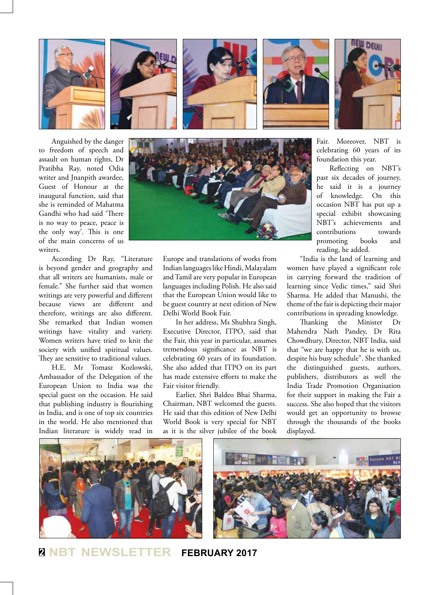









Anguished by the danger to freedom of speech and assault on human rights, Dr Pratibha Ray, noted Odia writer and Jnanpith awardee, Guest of Honour at the inaugural function, said that she is reminded of Mahatma Gandhi who had said 'There is no way to peace, peace is the only way'. This is one of the main concerns of us writers.

According Dr Ray, "Literature is beyond gender and geography and that all writers are humanists, male or female." She further said that women writings are very powerful and different because views are different and therefore, writings are also different. She remarked that Indian women writings have vitality and variety. Women writers have tried to knit the society with unified spiritual values. They are sensitive to traditional values.

H.E. Mr Tomasz Kozlowski, Ambassador of the Delegation of the European Union to India was the special guest on the occasion. He said that publishing industry is flourishing in India, and is one of top six countries in the world. He also mentioned that Indian literature is widely read in



Europe and translations of works from Indian languages like Hindi, Malayalam and Tamil are very popular in European languages including Polish. He also said that the European Union would like to be guest country at next edition of New Delhi World Book Fair.

In her address, Ms Shubhra Singh, Executive Director, ITPO, said that the Fair, this year in particular, assumes tremendous significance as NBT is celebrating 60 years of its foundation. She also added that ITPO on its part has made extensive efforts to make the Fair visitor friendly.

Earlier, Shri Baldeo Bhai Sharma, Chairman, NBT welcomed the guests. He said that this edition of New Delhi World Book is very special for NBT as it is the silver jubilee of the book celebrating 60 years of its foundation this year. Reflecting on NBT's past six decades of journey,

Fair. Moreover, NBT is

he said it is a journey of knowledge. On this occasion NBT has put up a special exhibit showcasing NBT's achievements and contributions towards promoting books and reading, he added.

"India is the land of learning and women have played a significant role in carrying forward the tradition of learning since Vedic times," said Shri Sharma. He added that Manushi, the theme of the fair is depicting their major contributions in spreading knowledge.

the Minister Dr Mahendra Nath Pandey, Dr Rita Chowdhury, Director, NBT India, said that "we are happy that he is with us, despite his busy schedule". She thanked the distinguished guests, authors, publishers, distributors as well the India Trade Promotion Organisation for their support in making the Fair a success. She also hoped that the visitors would get an opportunity to browse through the thousands of the books displayed.



**<sup>2</sup> NBT NEWSLETTER FEBRUARY 2017**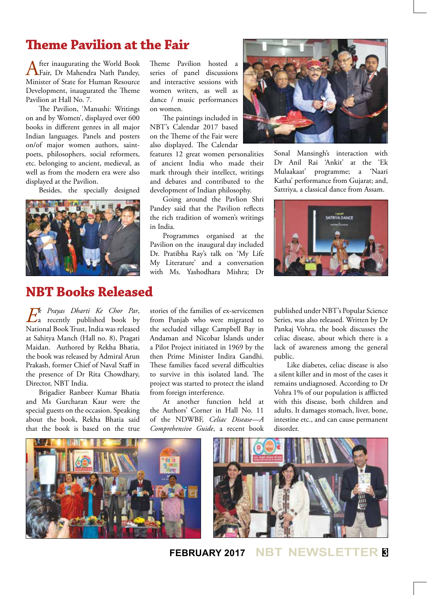## **Theme Pavilion at the Fair**

After inaugurating the World Book<br>Fair, Dr Mahendra Nath Pandey, Minister of State for Human Resource Development, inaugurated the Theme Pavilion at Hall No. 7.

The Pavilion, 'Manushi: Writings on and by Women', displayed over 600 books in different genres in all major Indian languages. Panels and posters on/of major women authors, saintpoets, philosophers, social reformers, etc. belonging to ancient, medieval, as well as from the modern era were also displayed at the Pavilion.

Besides, the specially designed



## **NBT Books Released**

*Ek Prayas Dharti Ke Chor Par*, a recently published book by National Book Trust, India was released at Sahitya Manch (Hall no. 8), Pragati Maidan. Authored by Rekha Bhatia, the book was released by Admiral Arun Prakash, former Chief of Naval Staff in the presence of Dr Rita Chowdhary, Director, NBT India.

Brigadier Ranbeer Kumar Bhatia and Ms Gurcharan Kaur were the special guests on the occasion. Speaking about the book, Rekha Bhatia said that the book is based on the true

Theme Pavilion hosted a series of panel discussions and interactive sessions with women writers, as well as dance / music performances on women.

The paintings included in NBT's Calendar 2017 based on the Theme of the Fair were also displayed. The Calendar

features 12 great women personalities of ancient India who made their mark through their intellect, writings and debates and contributed to the development of Indian philosophy.

Going around the Pavlion Shri Pandey said that the Pavilion reflects the rich tradition of women's writings in India.

Programmes organised at the Pavilion on the inaugural day included Dr. Pratibha Ray's talk on 'My Life My Literature' and a conversation with Ms. Yashodhara Mishra; Dr



Sonal Mansingh's interaction with Dr Anil Rai 'Ankit' at the 'Ek Mulaakaat' programme; a 'Naari Katha' performance from Gujarat; and, Sattriya, a classical dance from Assam.



stories of the families of ex-servicemen from Punjab who were migrated to the secluded village Campbell Bay in Andaman and Nicobar Islands under a Pilot Project initiated in 1969 by the then Prime Minister Indira Gandhi. These families faced several difficulties to survive in this isolated land. The project was started to protect the island from foreign interference.

At another function held at the Authors' Corner in Hall No. 11 of the NDWBF, *Celiac Disease—A Comprehensive Guide*, a recent book

published under NBT's Popular Science Series, was also released. Written by Dr Pankaj Vohra, the book discusses the celiac disease, about which there is a lack of awareness among the general public.

Like diabetes, celiac disease is also a silent killer and in most of the cases it remains undiagnosed. According to Dr Vohra 1% of our population is afflicted with this disease, both children and adults. It damages stomach, liver, bone, intestine etc., and can cause permanent disorder.

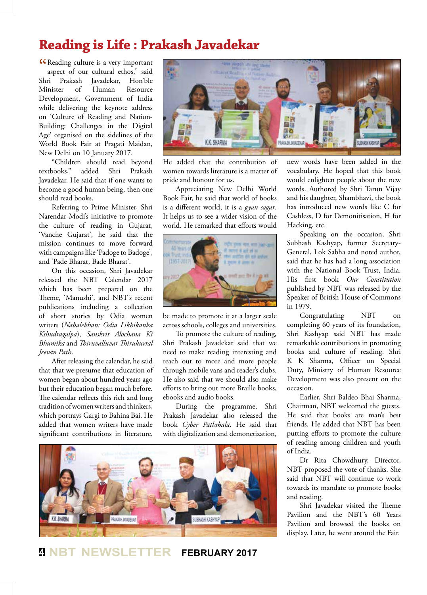## **Reading is Life : Prakash Javadekar**

CReading culture is a very important<br>aspect of our cultural ethos," said aspect of our cultural ethos," said Shri Prakash Javadekar, Hon'ble Minister of Human Resource Development, Government of India while delivering the keynote address on 'Culture of Reading and Nation-Building: Challenges in the Digital Age' organised on the sidelines of the World Book Fair at Pragati Maidan, New Delhi on 10 January 2017.

"Children should read beyond<br>textbooks." added Shri Prakash added Shri Javadekar. He said that if one wants to become a good human being, then one should read books.

Referring to Prime Minister, Shri Narendar Modi's initiative to promote the culture of reading in Gujarat, 'Vanche Gujarat', he said that the mission continues to move forward with campaigns like 'Padoge to Badoge', and 'Pade Bharat, Bade Bharat'.

On this occasion, Shri Javadekar released the NBT Calendar 2017 which has been prepared on the Theme, 'Manushi', and NBT's recent publications including a collection of short stories by Odia women writers (*Nabalekhan: Odia Likhikanka Kshudragalpa*), *Sanskrit Alochana Ki Bhumika* and *Thiruvalluvar Thirukurral Jeevan Path*.

After releasing the calendar, he said that that we presume that education of women began about hundred years ago but their education began much before. The calendar reflects this rich and long tradition of women writers and thinkers, which portrays Gargi to Bahina Bai. He added that women writers have made significant contributions in literature.



He added that the contribution of women towards literature is a matter of pride and honour for us.

Appreciating New Delhi World Book Fair, he said that world of books is a different world, it is a *gyan sagar*. It helps us to see a wider vision of the world. He remarked that efforts would



be made to promote it at a larger scale across schools, colleges and universities.

To promote the culture of reading, Shri Prakash Javadekar said that we need to make reading interesting and reach out to more and more people through mobile vans and reader's clubs. He also said that we should also make efforts to bring out more Braille books, ebooks and audio books.

During the programme, Shri Prakash Javadekar also released the book *Cyber Pathshala*. He said that with digitalization and demonetization,



### **<sup>4</sup> NBT NEWSLETTER FEBRUARY 2017**

new words have been added in the vocabulary. He hoped that this book would enlighten people about the new words. Authored by Shri Tarun Vijay and his daughter, Shambhavi, the book has introduced new words like C for Cashless, D for Demonitisation, H for Hacking, etc.

Speaking on the occasion, Shri Subhash Kashyap, former Secretary-General, Lok Sabha and noted author, said that he has had a long association with the National Book Trust, India. His first book *Our Constitution*  published by NBT was released by the Speaker of British House of Commons in 1979.

Congratulating NBT on completing 60 years of its foundation, Shri Kashyap said NBT has made remarkable contributions in promoting books and culture of reading. Shri K K Sharma, Officer on Special Duty, Ministry of Human Resource Development was also present on the occasion.

Earlier, Shri Baldeo Bhai Sharma, Chairman, NBT welcomed the guests. He said that books are man's best friends. He added that NBT has been putting efforts to promote the culture of reading among children and youth of India.

Dr Rita Chowdhury, Director, NBT proposed the vote of thanks. She said that NBT will continue to work towards its mandate to promote books and reading.

Shri Javadekar visited the Theme Pavilion and the NBT's 60 Years Pavilion and browsed the books on display. Later, he went around the Fair.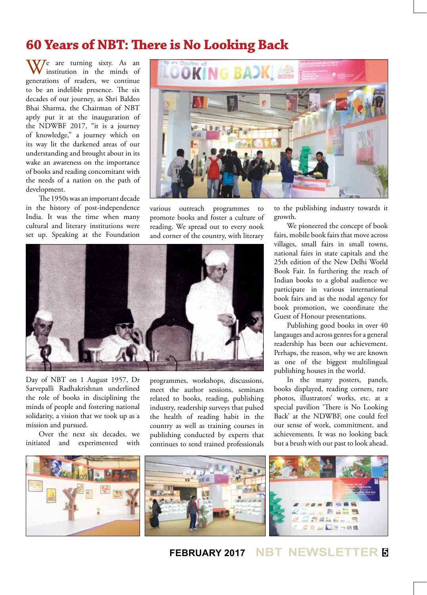### **60 Years of NBT: There is No Looking Back**

 $\sqrt{V}$  are turning sixty. As an institution in the minds of generations of readers, we continue to be an indelible presence. The six decades of our journey, as Shri Baldeo Bhai Sharma, the Chairman of NBT aptly put it at the inauguration of the NDWBF 2017, "it is a journey of knowledge," a journey which on its way lit the darkened areas of our understanding and brought about in its wake an awareness on the importance of books and reading concomitant with the needs of a nation on the path of development.

The 1950s was an important decade in the history of post-independence India. It was the time when many cultural and literary institutions were set up. Speaking at the Foundation



various outreach programmes to promote books and foster a culture of reading. We spread out to every nook and corner of the country, with literary



Day of NBT on 1 August 1957, Dr Sarvepalli Radhakrishnan underlined the role of books in disciplining the minds of people and fostering national solidarity, a vision that we took up as a mission and pursued.

Over the next six decades, we initiated and experimented with

programmes, workshops, discussions, meet the author sessions, seminars related to books, reading, publishing industry, readership surveys that pulsed the health of reading habit in the country as well as training courses in publishing conducted by experts that continues to send trained professionals

to the publishing industry towards it growth.

We pioneered the concept of book fairs, mobile book fairs that move across villages, small fairs in small towns, national fairs in state capitals and the 25th edition of the New Delhi World Book Fair. In furthering the reach of Indian books to a global audience we participate in various international book fairs and as the nodal agency for book promotion, we coordinate the Guest of Honour presentations.

Publishing good books in over 40 langauges and across genres for a general readership has been our achievement. Perhaps, the reason, why we are known as one of the biggest multilingual publishing houses in the world.

In the many posters, panels, books displayed, reading corners, rare photos, illustrators' works, etc. at a special pavilion 'There is No Looking Back' at the NDWBF, one could feel our sense of work, commitment, and achievements. It was no looking back but a brush with our past to look ahead.

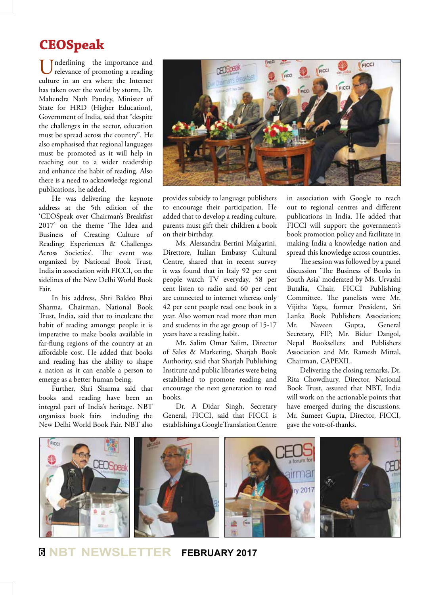## **CEOSpeak**

Inderlining the importance and relevance of promoting a reading culture in an era where the Internet has taken over the world by storm, Dr. Mahendra Nath Pandey, Minister of State for HRD (Higher Education), Government of India, said that "despite the challenges in the sector, education must be spread across the country". He also emphasised that regional languages must be promoted as it will help in reaching out to a wider readership and enhance the habit of reading. Also there is a need to acknowledge regional publications, he added.

He was delivering the keynote address at the 5th edition of the 'CEOSpeak over Chairman's Breakfast 2017' on the theme 'The Idea and Business of Creating Culture of Reading: Experiences & Challenges Across Societies'. The event was organized by National Book Trust, India in association with FICCI, on the sidelines of the New Delhi World Book Fair.

In his address, Shri Baldeo Bhai Sharma, Chairman, National Book Trust, India, said that to inculcate the habit of reading amongst people it is imperative to make books available in far-flung regions of the country at an affordable cost. He added that books and reading has the ability to shape a nation as it can enable a person to emerge as a better human being.

Further, Shri Sharma said that books and reading have been an integral part of India's heritage. NBT organises book fairs including the New Delhi World Book Fair. NBT also



provides subsidy to language publishers to encourage their participation. He added that to develop a reading culture, parents must gift their children a book on their birthday.

Ms. Alessandra Bertini Malgarini, Direttore, Italian Embassy Cultural Centre, shared that in recent survey it was found that in Italy 92 per cent people watch TV everyday, 58 per cent listen to radio and 60 per cent are connected to internet whereas only 42 per cent people read one book in a year. Also women read more than men and students in the age group of 15-17 years have a reading habit.

Mr. Salim Omar Salim, Director of Sales & Marketing, Sharjah Book Authority, said that Sharjah Publishing Institute and public libraries were being established to promote reading and encourage the next generation to read books.

Dr. A Didar Singh, Secretary General, FICCI, said that FICCI is establishing a Google Translation Centre in association with Google to reach out to regional centres and different publications in India. He added that FICCI will support the government's book promotion policy and facilitate in making India a knowledge nation and spread this knowledge across countries.

The session was followed by a panel discussion 'The Business of Books in South Asia' moderated by Ms. Urvashi Butalia, Chair, FICCI Publishing Committee. The panelists were Mr. Vijitha Yapa, former President, Sri Lanka Book Publishers Association; Mr. Naveen Gupta, General Secretary, FIP; Mr. Bidur Dangol, Nepal Booksellers and Publishers Association and Mr. Ramesh Mittal, Chairman, CAPEXIL.

Delivering the closing remarks, Dr. Rita Chowdhury, Director, National Book Trust, assured that NBT, India will work on the actionable points that have emerged during the discussions. Mr. Sumeet Gupta, Director, FICCI, gave the vote-of-thanks.



**<sup>6</sup> NBT NEWSLETTER FEBRUARY 2017**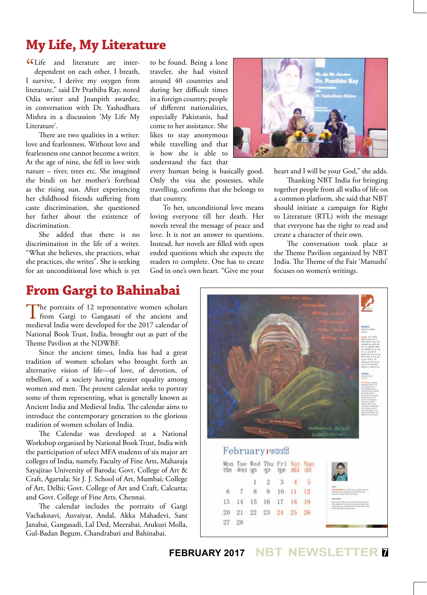## **My Life, My Literature**

CLife and literature are inter-<br>dependent on each other. I breath, dependent on each other. I breath, I survive, I derive my oxygen from literature," said Dr Prathiba Ray, noted Odia writer and Jnanpith awardee, in conversation with Dr. Yashodhara Mishra in a discussion 'My Life My Literature'.

There are two qualities in a writer: love and fearlessness. Without love and fearlessness one cannot become a writer. At the age of nine, she fell in love with nature – river, trees etc. She imagined the bindi on her mother's forehead as the rising sun. After experiencing her childhood friends suffering from caste discrimination, she questioned her father about the existence of discrimination.

She added that there is no discrimination in the life of a writer. "What she believes, she practices, what she practices, she writes". She is seeking for an unconditional love which is yet

to be found. Being a lone traveler, she had visited around 40 countries and during her difficult times in a foreign country, people of different nationalities, especially Pakistanis, had come to her assistance. She likes to stay anonymous while travelling and that is how she is able to understand the fact that

every human being is basically good. Only the visa she possesses, while travelling, confirms that she belongs to that country.

To her, unconditional love means loving everyone till her death. Her novels reveal the message of peace and love. It is not an answer to questions. Instead, her novels are filled with open ended questions which she expects the readers to complete. One has to create God in one's own heart. "Give me your



heart and I will be your God," she adds.

Thanking NBT India for bringing together people from all walks of life on a common platform, she said that NBT should initiate a campaign for Right to Literature (RTL) with the message that everyone has the right to read and create a character of their own.

The conversation took place at the Theme Pavilion organized by NBT India. The Theme of the Fair 'Manushi' focuses on women's writings.

#### **From Gargi to Bahinabai**

The portraits of 12 representative women scholars<br>from Gargi to Gangasati of the ancient and medieval India were developed for the 2017 calendar of National Book Trust, India, brought out as part of the Theme Pavilion at the NDWBF.

Since the ancient times, India has had a great tradition of women scholars who brought forth an alternative vision of life—of love, of devotion, of rebellion, of a society having greater equality among women and men. The present calendar seeks to portray some of them representing, what is generally known as Ancient India and Medieval India. The calendar aims to introduce the contemporary generation to the glorious tradition of women scholars of India.

The Calendar was developed at a National Workshop organised by National Book Trust, India with the participation of select MFA students of six major art colleges of India, namely, Faculty of Fine Arts, Maharaja Sayajirao University of Baroda; Govt. College of Art & Craft, Agartala; Sir J. J. School of Art, Mumbai; College of Art, Delhi; Govt. College of Art and Craft, Calcutta; and Govt. College of Fine Arts, Chennai.

The calendar includes the portraits of Gargi Vachaknavi, Auvaiyar, Andal, Akka Mahadevi, Sant Janabai, Gangasadi, Lal Ded, Meerabai, Atukuri Molla, Gul-Badan Begum, Chandrabati and Bahinabai.